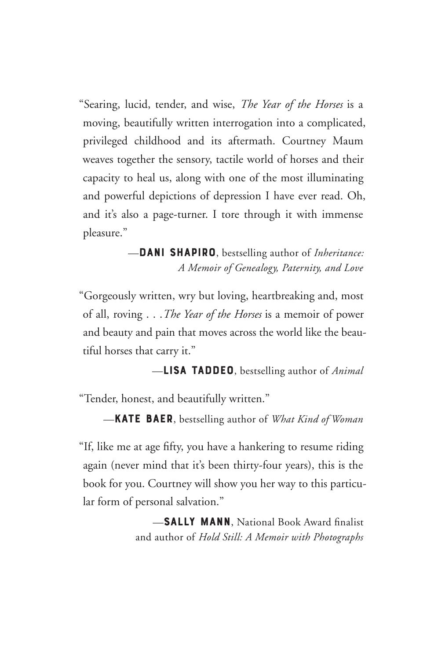"Searing, lucid, tender, and wise, *The Year of the Horses* is a moving, beautifully written interrogation into a complicated, privileged childhood and its aftermath. Courtney Maum weaves together the sensory, tactile world of horses and their capacity to heal us, along with one of the most illuminating and powerful depictions of depression I have ever read. Oh, and it's also a page-turner. I tore through it with immense pleasure."

> —Dani Shapiro, bestselling author of *Inheritance: A Memoir of Genealogy, Paternity, and Love*

"Gorgeously written, wry but loving, heartbreaking and, most of all, roving . . .*The Year of the Horses* is a memoir of power and beauty and pain that moves across the world like the beautiful horses that carry it."

—Lisa Taddeo, bestselling author of *Animal*

"Tender, honest, and beautifully written."

—Kate Baer, bestselling author of *What Kind of Woman*

"If, like me at age fifty, you have a hankering to resume riding again (never mind that it's been thirty-four years), this is the book for you. Courtney will show you her way to this particular form of personal salvation."

> **-SALLY MANN**, National Book Award finalist and author of *Hold Still: A Memoir with Photographs*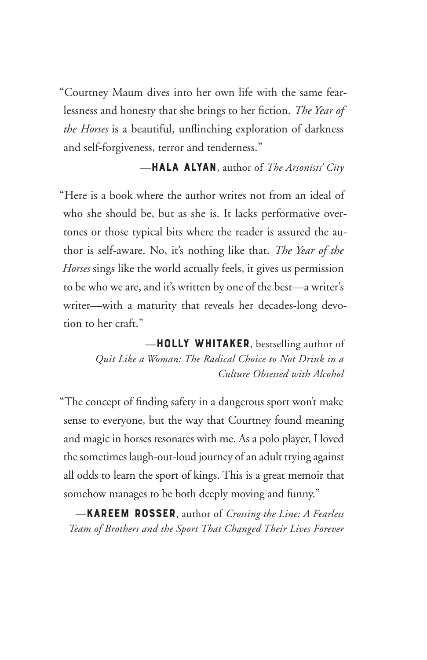"Courtney Maum dives into her own life with the same fearlessness and honesty that she brings to her fiction. *The Year of the Horses* is a beautiful, unflinching exploration of darkness and self-forgiveness, terror and tenderness."

#### —Hala Alyan, author of *The Arsonists' City*

"Here is a book where the author writes not from an ideal of who she should be, but as she is. It lacks performative overtones or those typical bits where the reader is assured the author is self-aware. No, it's nothing like that. *The Year of the Horses* sings like the world actually feels, it gives us permission to be who we are, and it's written by one of the best—a writer's writer—with a maturity that reveals her decades-long devotion to her craft."

> **—HOLLY WHITAKER**, bestselling author of *Quit Like a Woman: The Radical Choice to Not Drink in a Culture Obsessed with Alcohol*

"The concept of finding safety in a dangerous sport won't make sense to everyone, but the way that Courtney found meaning and magic in horses resonates with me. As a polo player, I loved the sometimes laugh-out-loud journey of an adult trying against all odds to learn the sport of kings. This is a great memoir that somehow manages to be both deeply moving and funny."

—Kareem Rosser, author of *Crossing the Line: A Fearless Team of Brothers and the Sport That Changed Their Lives Forever*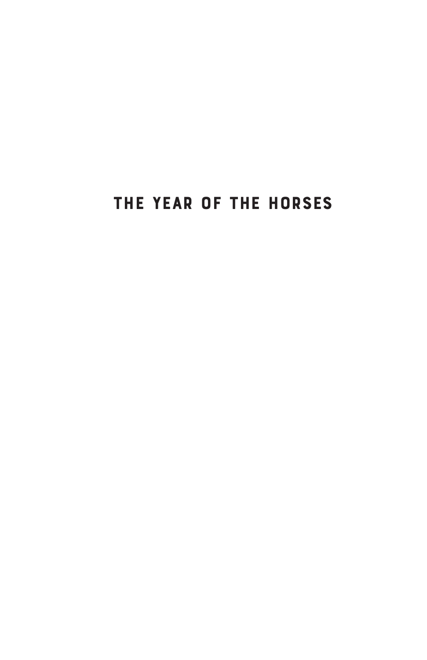## the year of the horses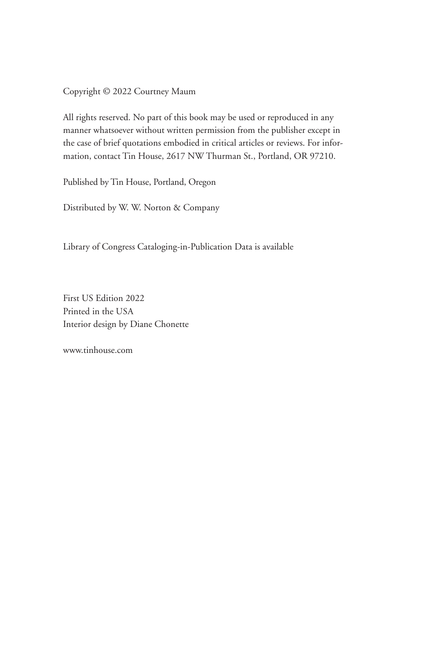Copyright © 2022 Courtney Maum

All rights reserved. No part of this book may be used or reproduced in any manner whatsoever without written permission from the publisher except in the case of brief quotations embodied in critical articles or reviews. For information, contact Tin House, 2617 NW Thurman St., Portland, OR 97210.

Published by Tin House, Portland, Oregon

Distributed by W. W. Norton & Company

Library of Congress Cataloging-in-Publication Data is available

First US Edition 2022 Printed in the USA Interior design by Diane Chonette

www.tinhouse.com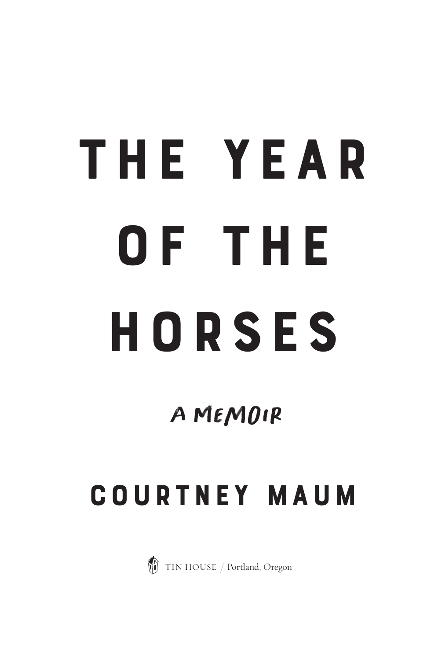# THE YEAR OF THE HORSES

# A MEMOIR

# COURTNEY MAUM



∏IN HOUSE / Portland, Oregon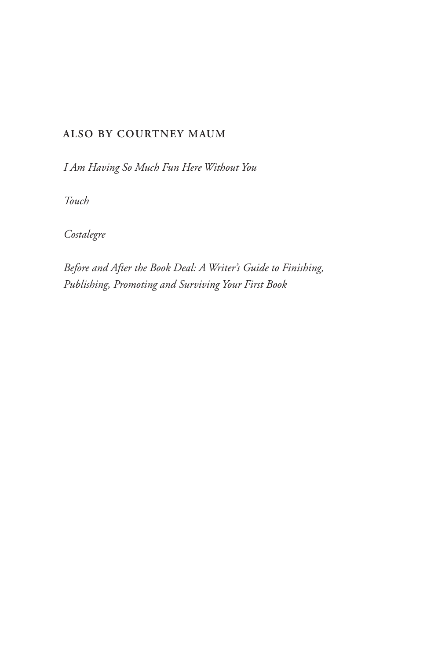#### **ALSO BY COURTNEY MAUM**

*I Am Having So Much Fun Here Without You*

*Touch*

*Costalegre*

*Before and After the Book Deal: A Writer's Guide to Finishing, Publishing, Promoting and Surviving Your First Book*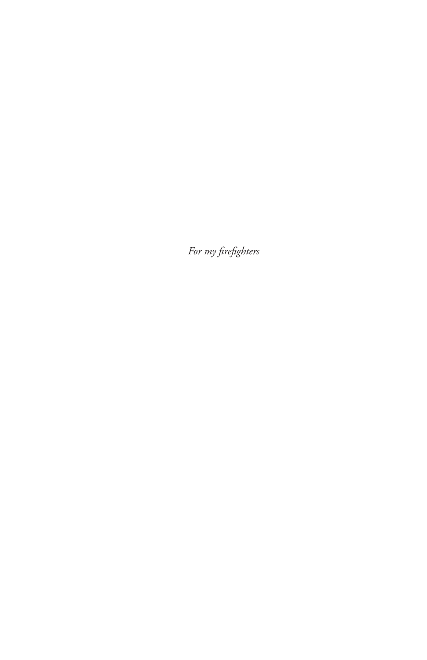*For my firefighters*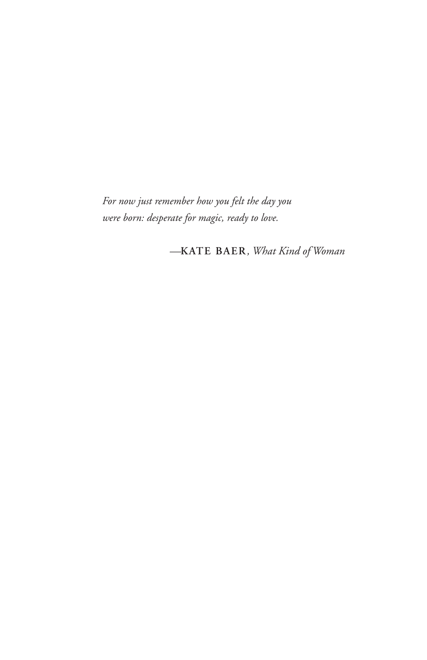*For now just remember how you felt the day you were born: desperate for magic, ready to love.*

*—***KATE BAER***, What Kind of Woman*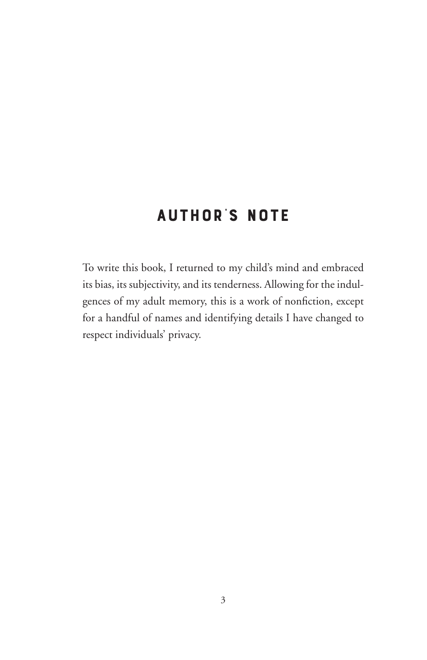## AUTHOR'S NOTE

To write this book, I returned to my child's mind and embraced its bias, its subjectivity, and its tenderness. Allowing for the indulgences of my adult memory, this is a work of nonfiction, except for a handful of names and identifying details I have changed to respect individuals' privacy.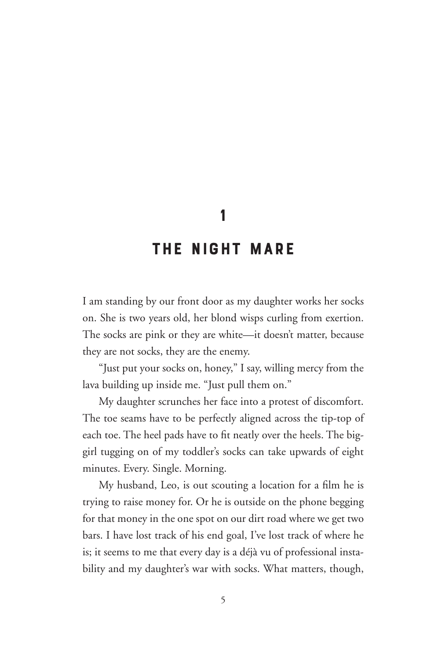1

### THE NIGHT MARE

I am standing by our front door as my daughter works her socks on. She is two years old, her blond wisps curling from exertion. The socks are pink or they are white—it doesn't matter, because they are not socks, they are the enemy.

"Just put your socks on, honey," I say, willing mercy from the lava building up inside me. "Just pull them on."

My daughter scrunches her face into a protest of discomfort. The toe seams have to be perfectly aligned across the tip-top of each toe. The heel pads have to fit neatly over the heels. The biggirl tugging on of my toddler's socks can take upwards of eight minutes. Every. Single. Morning.

My husband, Leo, is out scouting a location for a film he is trying to raise money for. Or he is outside on the phone begging for that money in the one spot on our dirt road where we get two bars. I have lost track of his end goal, I've lost track of where he is; it seems to me that every day is a déjà vu of professional instability and my daughter's war with socks. What matters, though,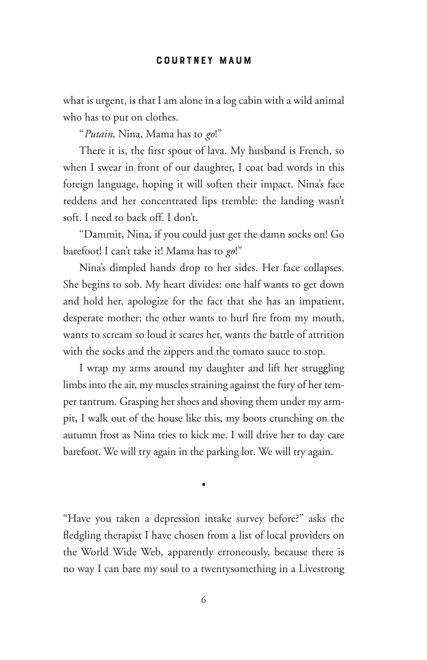#### Courtney Maum

what is urgent, is that I am alone in a log cabin with a wild animal who has to put on clothes.

"*Putain*, Nina, Mama has to *go*!"

There it is, the first spout of lava. My husband is French, so when I swear in front of our daughter, I coat bad words in this foreign language, hoping it will soften their impact. Nina's face reddens and her concentrated lips tremble: the landing wasn't soft. I need to back off. I don't.

"Dammit, Nina, if you could just get the damn socks on! Go barefoot! I can't take it! Mama has to *go*!"

Nina's dimpled hands drop to her sides. Her face collapses. She begins to sob. My heart divides: one half wants to get down and hold her, apologize for the fact that she has an impatient, desperate mother; the other wants to hurl fire from my mouth, wants to scream so loud it scares her, wants the battle of attrition with the socks and the zippers and the tomato sauce to stop.

I wrap my arms around my daughter and lift her struggling limbs into the air, my muscles straining against the fury of her temper tantrum. Grasping her shoes and shoving them under my armpit, I walk out of the house like this, my boots crunching on the autumn frost as Nina tries to kick me. I will drive her to day care barefoot. We will try again in the parking lot. We will try again.

"Have you taken a depression intake survey before?" asks the fledgling therapist I have chosen from a list of local providers on the World Wide Web, apparently erroneously, because there is no way I can bare my soul to a twentysomething in a Livestrong

•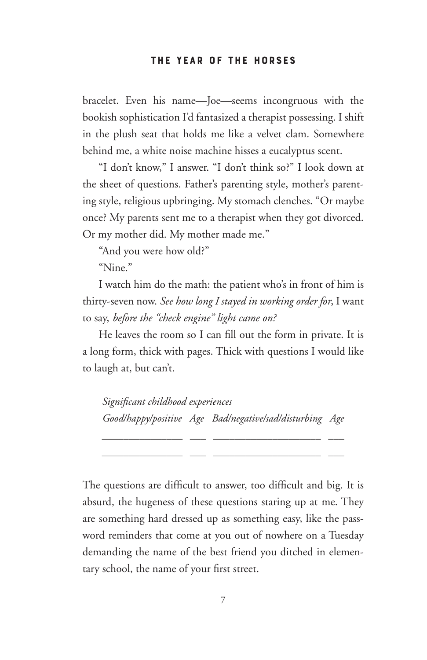bracelet. Even his name—Joe—seems incongruous with the bookish sophistication I'd fantasized a therapist possessing. I shift in the plush seat that holds me like a velvet clam. Somewhere behind me, a white noise machine hisses a eucalyptus scent.

"I don't know," I answer. "I don't think so?" I look down at the sheet of questions. Father's parenting style, mother's parenting style, religious upbringing. My stomach clenches. "Or maybe once? My parents sent me to a therapist when they got divorced. Or my mother did. My mother made me."

"And you were how old?"

"Nine"

I watch him do the math: the patient who's in front of him is thirty-seven now. *See how long I stayed in working order for*, I want to say, *before the "check engine" light came on?*

He leaves the room so I can fill out the form in private. It is a long form, thick with pages. Thick with questions I would like to laugh at, but can't.

*Significant childhood experiences Good/happy/positive Age Bad/negative/sad/disturbing Age*

*\_\_\_\_\_\_\_\_\_\_\_\_\_\_\_ \_\_\_ \_\_\_\_\_\_\_\_\_\_\_\_\_\_\_\_\_\_\_\_ \_\_\_ \_\_\_\_\_\_\_\_\_\_\_\_\_\_\_ \_\_\_ \_\_\_\_\_\_\_\_\_\_\_\_\_\_\_\_\_\_\_\_ \_\_\_*

The questions are difficult to answer, too difficult and big. It is absurd, the hugeness of these questions staring up at me. They are something hard dressed up as something easy, like the password reminders that come at you out of nowhere on a Tuesday demanding the name of the best friend you ditched in elementary school, the name of your first street.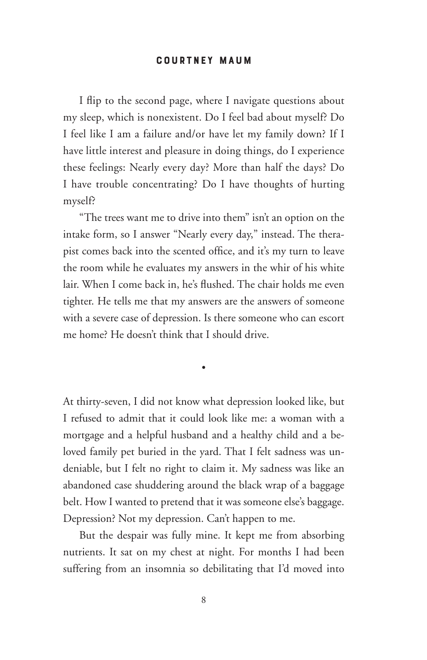#### Courtney Maum

I flip to the second page, where I navigate questions about my sleep, which is nonexistent. Do I feel bad about myself? Do I feel like I am a failure and/or have let my family down? If I have little interest and pleasure in doing things, do I experience these feelings: Nearly every day? More than half the days? Do I have trouble concentrating? Do I have thoughts of hurting myself?

"The trees want me to drive into them" isn't an option on the intake form, so I answer "Nearly every day," instead. The therapist comes back into the scented office, and it's my turn to leave the room while he evaluates my answers in the whir of his white lair. When I come back in, he's flushed. The chair holds me even tighter. He tells me that my answers are the answers of someone with a severe case of depression. Is there someone who can escort me home? He doesn't think that I should drive.

•

At thirty-seven, I did not know what depression looked like, but I refused to admit that it could look like me: a woman with a mortgage and a helpful husband and a healthy child and a beloved family pet buried in the yard. That I felt sadness was undeniable, but I felt no right to claim it. My sadness was like an abandoned case shuddering around the black wrap of a baggage belt. How I wanted to pretend that it was someone else's baggage. Depression? Not my depression. Can't happen to me.

But the despair was fully mine. It kept me from absorbing nutrients. It sat on my chest at night. For months I had been suffering from an insomnia so debilitating that I'd moved into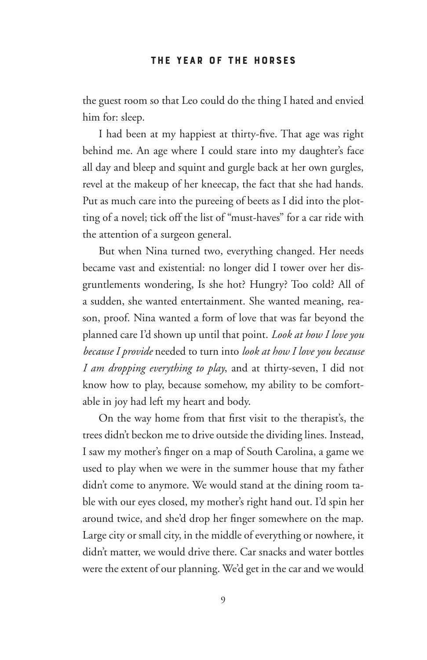the guest room so that Leo could do the thing I hated and envied him for: sleep.

I had been at my happiest at thirty-five. That age was right behind me. An age where I could stare into my daughter's face all day and bleep and squint and gurgle back at her own gurgles, revel at the makeup of her kneecap, the fact that she had hands. Put as much care into the pureeing of beets as I did into the plotting of a novel; tick off the list of "must-haves" for a car ride with the attention of a surgeon general.

But when Nina turned two, everything changed. Her needs became vast and existential: no longer did I tower over her disgruntlements wondering, Is she hot? Hungry? Too cold? All of a sudden, she wanted entertainment. She wanted meaning, reason, proof. Nina wanted a form of love that was far beyond the planned care I'd shown up until that point. *Look at how I love you because I provide* needed to turn into *look at how I love you because I am dropping everything to play*, and at thirty-seven, I did not know how to play, because somehow, my ability to be comfortable in joy had left my heart and body.

On the way home from that first visit to the therapist's, the trees didn't beckon me to drive outside the dividing lines. Instead, I saw my mother's finger on a map of South Carolina, a game we used to play when we were in the summer house that my father didn't come to anymore. We would stand at the dining room table with our eyes closed, my mother's right hand out. I'd spin her around twice, and she'd drop her finger somewhere on the map. Large city or small city, in the middle of everything or nowhere, it didn't matter, we would drive there. Car snacks and water bottles were the extent of our planning. We'd get in the car and we would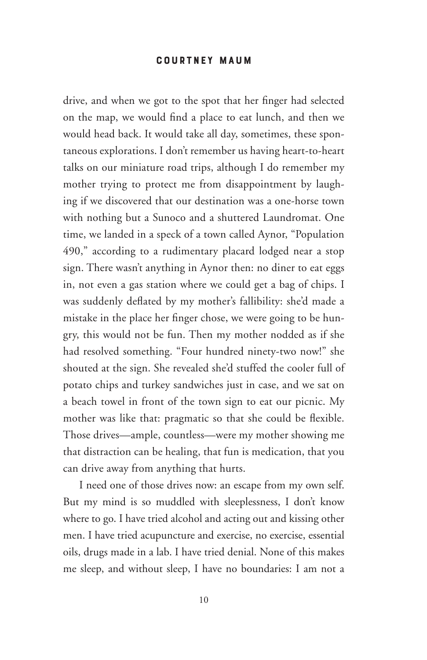drive, and when we got to the spot that her finger had selected on the map, we would find a place to eat lunch, and then we would head back. It would take all day, sometimes, these spontaneous explorations. I don't remember us having heart-to-heart talks on our miniature road trips, although I do remember my mother trying to protect me from disappointment by laughing if we discovered that our destination was a one-horse town with nothing but a Sunoco and a shuttered Laundromat. One time, we landed in a speck of a town called Aynor, "Population 490," according to a rudimentary placard lodged near a stop sign. There wasn't anything in Aynor then: no diner to eat eggs in, not even a gas station where we could get a bag of chips. I was suddenly deflated by my mother's fallibility: she'd made a mistake in the place her finger chose, we were going to be hungry, this would not be fun. Then my mother nodded as if she had resolved something. "Four hundred ninety-two now!" she shouted at the sign. She revealed she'd stuffed the cooler full of potato chips and turkey sandwiches just in case, and we sat on a beach towel in front of the town sign to eat our picnic. My mother was like that: pragmatic so that she could be flexible. Those drives—ample, countless—were my mother showing me that distraction can be healing, that fun is medication, that you can drive away from anything that hurts.

I need one of those drives now: an escape from my own self. But my mind is so muddled with sleeplessness, I don't know where to go. I have tried alcohol and acting out and kissing other men. I have tried acupuncture and exercise, no exercise, essential oils, drugs made in a lab. I have tried denial. None of this makes me sleep, and without sleep, I have no boundaries: I am not a